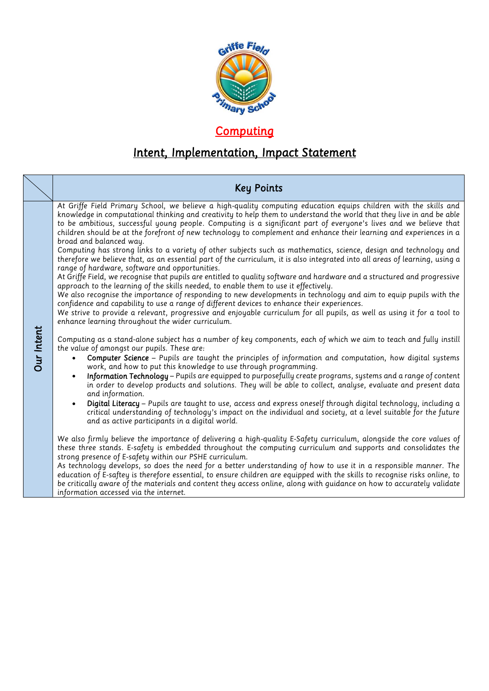

## *Computing*

## *Intent, Implementation, Impact Statement*

|                   | <b>Key Points</b>                                                                                                                                                                                                                                                                                                                                                                                                                                                                                                                                                                                                                                                                                                                                                                                                                                                                                                                                                                                                                                                                                                                                                                                                                                                                                                                                                                                                                                                                                                                                                                                                                                                                                                                                                                                                                                                                                                                                                                                                                                                                                                                                                                                                                                                                                                                                                                                                                                                                                                                                                                                                                                                                                                                                                                                                                                                                                                                                                                                                                                                                                      |
|-------------------|--------------------------------------------------------------------------------------------------------------------------------------------------------------------------------------------------------------------------------------------------------------------------------------------------------------------------------------------------------------------------------------------------------------------------------------------------------------------------------------------------------------------------------------------------------------------------------------------------------------------------------------------------------------------------------------------------------------------------------------------------------------------------------------------------------------------------------------------------------------------------------------------------------------------------------------------------------------------------------------------------------------------------------------------------------------------------------------------------------------------------------------------------------------------------------------------------------------------------------------------------------------------------------------------------------------------------------------------------------------------------------------------------------------------------------------------------------------------------------------------------------------------------------------------------------------------------------------------------------------------------------------------------------------------------------------------------------------------------------------------------------------------------------------------------------------------------------------------------------------------------------------------------------------------------------------------------------------------------------------------------------------------------------------------------------------------------------------------------------------------------------------------------------------------------------------------------------------------------------------------------------------------------------------------------------------------------------------------------------------------------------------------------------------------------------------------------------------------------------------------------------------------------------------------------------------------------------------------------------------------------------------------------------------------------------------------------------------------------------------------------------------------------------------------------------------------------------------------------------------------------------------------------------------------------------------------------------------------------------------------------------------------------------------------------------------------------------------------------------|
| <b>Dur Intent</b> | At Griffe Field Primary School, we believe a high-quality computing education equips children with the skills and<br>knowledge in computational thinking and creativity to help them to understand the world that they live in and be able<br>to be ambitious, successful young people. Computing is a significant part of everyone's lives and we believe that<br>children should be at the forefront of new technology to complement and enhance their learning and experiences in a<br>broad and balanced way.<br>Computing has strong links to a variety of other subjects such as mathematics, science, design and technology and<br>therefore we believe that, as an essential part of the curriculum, it is also integrated into all areas of learning, using a<br>range of hardware, software and opportunities.<br>At Griffe Field, we recognise that pupils are entitled to quality software and hardware and a structured and progressive<br>approach to the learning of the skills needed, to enable them to use it effectively.<br>We also recognise the importance of responding to new developments in technology and aim to equip pupils with the<br>confidence and capability to use a range of different devices to enhance their experiences.<br>We strive to provide a relevant, progressive and enjoyable curriculum for all pupils, as well as using it for a tool to<br>enhance learning throughout the wider curriculum.<br>Computing as a stand-alone subject has a number of key components, each of which we aim to teach and fully instill<br>the value of amongst our pupils. These are:<br>Computer Science - Pupils are taught the principles of information and computation, how digital systems<br>work, and how to put this knowledge to use through programming.<br>Information Technology - Pupils are equipped to purposefully create programs, systems and a range of content<br>$\bullet$<br>in order to develop products and solutions. They will be able to collect, analyse, evaluate and present data<br>and information.<br>Digital Literacy - Pupils are taught to use, access and express oneself through digital technology, including a<br>$\bullet$<br>critical understanding of technology's impact on the individual and society, at a level suitable for the future<br>and as active participants in a digital world.<br>We also firmly believe the importance of delivering a high-quality E-Safety curriculum, alongside the core values of<br>these three stands. E-safety is embedded throughout the computing curriculum and supports and consolidates the<br>strong presence of E-safety within our PSHE curriculum.<br>As technology develops, so does the need for a better understanding of how to use it in a responsible manner. The<br>education of E-saftey is therefore essential, to ensure children are equipped with the skills to recognise risks online, to<br>be critically aware of the materials and content they access online, along with guidance on how to accurately validate<br>information accessed via the internet. |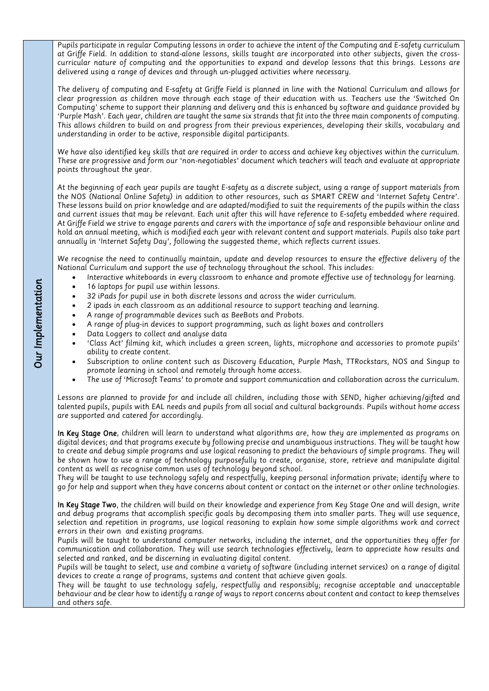*Pupils participate in regular Computing lessons in order to achieve the intent of the Computing and E-safety curriculum curricular nature of computing and the opportunities to expand and develop lessons that this brings. Lessons are curricular nature of computing and the opportunities to expand and develop lessons that this brings. Lessons are delivered using a range of devices and through un-plugged activities where necessary.* 

*The delivery of computing and E-safety at Griffe Field is planned in line with the National Curriculum and allows for computing' scheme to support their planning and delivery and this is enhanced by software and guidance provided by* 'Purple Mash'. Each year, children are taught the same six strands that fit into the three main components of computing. This allows children to build on and progress from their previous experiences, developing their skills, vocabulary and *This allows children to build on and progress from their previous experiences, developing their skills, vocabulary and understanding in order to be active, responsible digital participants.*

*We have also identified key skills that are required in order to access and achieve key objectives within the curriculum. These are progressive and form our 'non-negotiables' document which teachers will teach and evaluate at appropriate points throughout the year.* 

*At the beginning of each year pupils are taught E-safety as a discrete subject, using a range of support materials from*  These lessons build on prior knowledge and are adapted/modified to suit the requirements of the pupils within the class and current issues that may be relevant. Each unit after this will have reference to E-safety embedded where required. *and current issues that may be relevant. Each unit after this will have reference to E-safety embedded where required. At Griffe Field we strive to engage parents and carers with the importance of safe and responsible behaviour online and hold an annual meeting, which is modified each year with relevant content and support materials. Pupils also take part annually in 'Internet Safety Day', following the suggested theme, which reflects current issues.* 

*We recognise the need to continually maintain, update and develop resources to ensure the effective delivery of the* 

- Interactive whiteboards in every classroom to enhance and promote effective use of technology for learning.<br>• 16 laptops for pupil use within lessons
	- *16 laptops for pupil use within lessons.*
	- *32 iPads for pupil use in both discrete lessons and across the wider curriculum.*
	- *2 ipads in each classroom as an additional resource to support teaching and learning.*
	- *A range of programmable devices such as BeeBots and Probots.*
	- *A range of plug-in devices to support programming, such as light boxes and controllers*
	- *Data Loggers to collect and analyse data*
	- *'Class Act' filming kit, which includes a green screen, lights, microphone and accessories to promote pupils'*
	- *ability to create content. Subscription to online content such as Discovery Education, Purple Mash, TTRockstars, NOS and Singup to*
	- *promote learning in school and remotely through home access. The use of 'Microsoft Teams' to promote and support communication and collaboration across the curriculum.*

*Lessons are planned to provide for and include all children, including those with SEND, higher achieving/gifted and talented pupils, pupils with EAL needs and pupils from all social and cultural backgrounds. Pupils without home access are supported and catered for accordingly.*

*In Key Stage One, children will learn to understand what algorithms are, how they are implemented as programs on digital devices; and that programs execute by following precise and unambiguous instructions. They will be taught how*  be shown how to use a range of technology purposefully to create, organise, store, retrieve and manipulate digital content as well as recognise common uses of technology beyond school.

They will be taught to use technology safely and respectfully, keeping personal information private; identify where to  $T_{\text{t}}$  be taught to use the taught to use the taught to use the taught to use the information personal internal information personal information personal internal information personal information personal internal info *go for help and support when they have concerns about content or contact on the internet or other online technologies.*

*In Key Stage Two, the children will build on their knowledge and experience from Key Stage One and will design, write and debug programs that accomplish specific goals by decomposing them into smaller parts. They will use sequence, errors in their own and existing programs.* 

Pupils will be taught to understand computer networks, including the internet, and the opportunities they offer for communication and collaboration. They will use search technologies effectively, learn to appreciate how results and *communication and collaboration. They will use search technologies effectively, learn to appreciate how results and* 

Pupils will be taught to select, use and combine a variety of software (including internet services) on a range of digital devices to create a range of programs, systems and content that achieve given goals.

They will be taught to use technology safely, respectfully and responsibly; recognise acceptable and unacceptable *They will be taught to use technology safely, respectfully and responsibly; recognise acceptable and unacceptable behaviour and be clear how to identify a range of ways to report concerns about content and contact to keep themselves and others safe.*